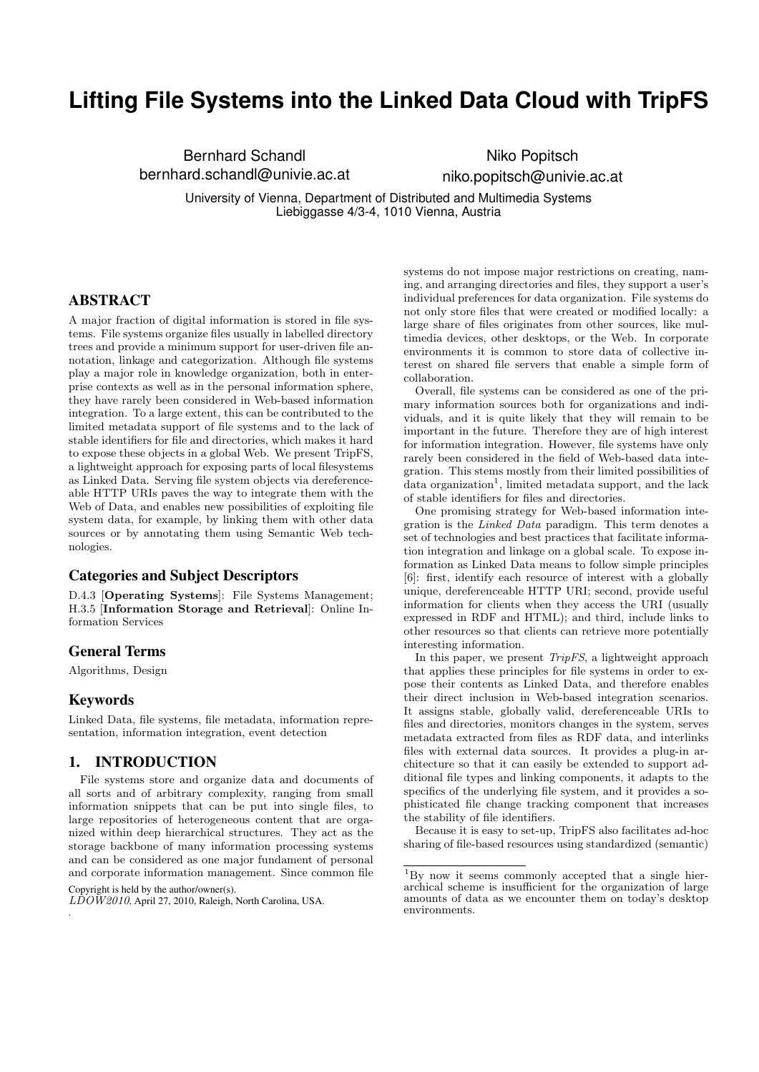# **Lifting File Systems into the Linked Data Cloud with TripFS**

Bernhard Schandl bernhard.schandl@univie.ac.at

Niko Popitsch niko.popitsch@univie.ac.at

University of Vienna, Department of Distributed and Multimedia Systems Liebiggasse 4/3-4, 1010 Vienna, Austria

# ABSTRACT

A major fraction of digital information is stored in file systems. File systems organize files usually in labelled directory trees and provide a minimum support for user-driven file annotation, linkage and categorization. Although file systems play a major role in knowledge organization, both in enterprise contexts as well as in the personal information sphere, they have rarely been considered in Web-based information integration. To a large extent, this can be contributed to the limited metadata support of file systems and to the lack of stable identifiers for file and directories, which makes it hard to expose these objects in a global Web. We present TripFS, a lightweight approach for exposing parts of local filesystems as Linked Data. Serving file system objects via dereferenceable HTTP URIs paves the way to integrate them with the Web of Data, and enables new possibilities of exploiting file system data, for example, by linking them with other data sources or by annotating them using Semantic Web technologies.

## Categories and Subject Descriptors

D.4.3 [Operating Systems]: File Systems Management; H.3.5 [Information Storage and Retrieval]: Online Information Services

## General Terms

Algorithms, Design

#### Keywords

.

Linked Data, file systems, file metadata, information representation, information integration, event detection

## 1. INTRODUCTION

File systems store and organize data and documents of all sorts and of arbitrary complexity, ranging from small information snippets that can be put into single files, to large repositories of heterogeneous content that are organized within deep hierarchical structures. They act as the storage backbone of many information processing systems and can be considered as one major fundament of personal and corporate information management. Since common file Copyright is held by the author/owner(s).

systems do not impose major restrictions on creating, naming, and arranging directories and files, they support a user's individual preferences for data organization. File systems do not only store files that were created or modified locally: a large share of files originates from other sources, like multimedia devices, other desktops, or the Web. In corporate environments it is common to store data of collective interest on shared file servers that enable a simple form of collaboration.

Overall, file systems can be considered as one of the primary information sources both for organizations and individuals, and it is quite likely that they will remain to be important in the future. Therefore they are of high interest for information integration. However, file systems have only rarely been considered in the field of Web-based data integration. This stems mostly from their limited possibilities of data organization<sup>1</sup>, limited metadata support, and the lack of stable identifiers for files and directories.

One promising strategy for Web-based information integration is the Linked Data paradigm. This term denotes a set of technologies and best practices that facilitate information integration and linkage on a global scale. To expose information as Linked Data means to follow simple principles [6]: first, identify each resource of interest with a globally unique, dereferenceable HTTP URI; second, provide useful information for clients when they access the URI (usually expressed in RDF and HTML); and third, include links to other resources so that clients can retrieve more potentially interesting information.

In this paper, we present *TripFS*, a lightweight approach that applies these principles for file systems in order to expose their contents as Linked Data, and therefore enables their direct inclusion in Web-based integration scenarios. It assigns stable, globally valid, dereferenceable URIs to files and directories, monitors changes in the system, serves metadata extracted from files as RDF data, and interlinks files with external data sources. It provides a plug-in architecture so that it can easily be extended to support additional file types and linking components, it adapts to the specifics of the underlying file system, and it provides a sophisticated file change tracking component that increases the stability of file identifiers.

Because it is easy to set-up, TripFS also facilitates ad-hoc sharing of file-based resources using standardized (semantic)

 $L\tilde{D}O\tilde{W}2010$ , April 27, 2010, Raleigh, North Carolina, USA.

<sup>1</sup>By now it seems commonly accepted that a single hierarchical scheme is insufficient for the organization of large amounts of data as we encounter them on today's desktop environments.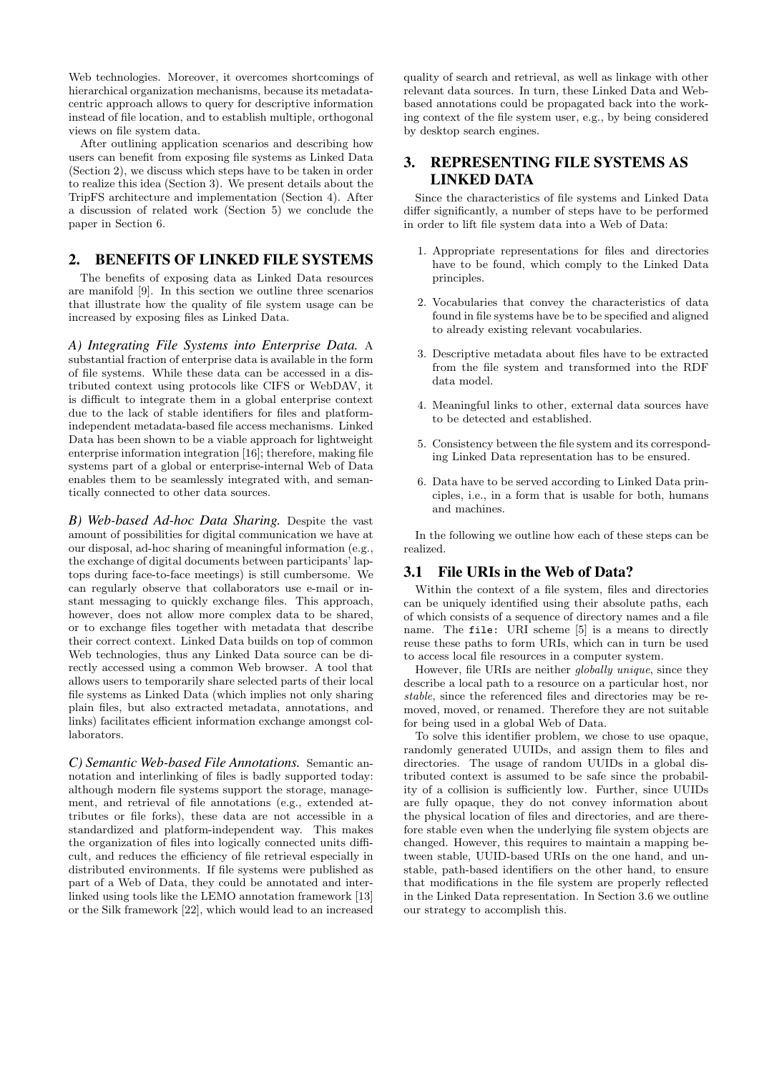Web technologies. Moreover, it overcomes shortcomings of hierarchical organization mechanisms, because its metadatacentric approach allows to query for descriptive information instead of file location, and to establish multiple, orthogonal views on file system data.

After outlining application scenarios and describing how users can benefit from exposing file systems as Linked Data (Section 2), we discuss which steps have to be taken in order to realize this idea (Section 3). We present details about the TripFS architecture and implementation (Section 4). After a discussion of related work (Section 5) we conclude the paper in Section 6.

# 2. BENEFITS OF LINKED FILE SYSTEMS

The benefits of exposing data as Linked Data resources are manifold [9]. In this section we outline three scenarios that illustrate how the quality of file system usage can be increased by exposing files as Linked Data.

*A) Integrating File Systems into Enterprise Data.* A substantial fraction of enterprise data is available in the form of file systems. While these data can be accessed in a distributed context using protocols like CIFS or WebDAV, it is difficult to integrate them in a global enterprise context due to the lack of stable identifiers for files and platformindependent metadata-based file access mechanisms. Linked Data has been shown to be a viable approach for lightweight enterprise information integration [16]; therefore, making file systems part of a global or enterprise-internal Web of Data enables them to be seamlessly integrated with, and semantically connected to other data sources.

*B) Web-based Ad-hoc Data Sharing.* Despite the vast amount of possibilities for digital communication we have at our disposal, ad-hoc sharing of meaningful information (e.g., the exchange of digital documents between participants' laptops during face-to-face meetings) is still cumbersome. We can regularly observe that collaborators use e-mail or instant messaging to quickly exchange files. This approach, however, does not allow more complex data to be shared, or to exchange files together with metadata that describe their correct context. Linked Data builds on top of common Web technologies, thus any Linked Data source can be directly accessed using a common Web browser. A tool that allows users to temporarily share selected parts of their local file systems as Linked Data (which implies not only sharing plain files, but also extracted metadata, annotations, and links) facilitates efficient information exchange amongst collaborators.

*C) Semantic Web-based File Annotations.* Semantic annotation and interlinking of files is badly supported today: although modern file systems support the storage, management, and retrieval of file annotations (e.g., extended attributes or file forks), these data are not accessible in a standardized and platform-independent way. This makes the organization of files into logically connected units difficult, and reduces the efficiency of file retrieval especially in distributed environments. If file systems were published as part of a Web of Data, they could be annotated and interlinked using tools like the LEMO annotation framework [13] or the Silk framework [22], which would lead to an increased

quality of search and retrieval, as well as linkage with other relevant data sources. In turn, these Linked Data and Webbased annotations could be propagated back into the working context of the file system user, e.g., by being considered by desktop search engines.

# 3. REPRESENTING FILE SYSTEMS AS LINKED DATA

Since the characteristics of file systems and Linked Data differ significantly, a number of steps have to be performed in order to lift file system data into a Web of Data:

- 1. Appropriate representations for files and directories have to be found, which comply to the Linked Data principles.
- 2. Vocabularies that convey the characteristics of data found in file systems have be to be specified and aligned to already existing relevant vocabularies.
- 3. Descriptive metadata about files have to be extracted from the file system and transformed into the RDF data model.
- 4. Meaningful links to other, external data sources have to be detected and established.
- 5. Consistency between the file system and its corresponding Linked Data representation has to be ensured.
- 6. Data have to be served according to Linked Data principles, i.e., in a form that is usable for both, humans and machines.

In the following we outline how each of these steps can be realized.

# 3.1 File URIs in the Web of Data?

Within the context of a file system, files and directories can be uniquely identified using their absolute paths, each of which consists of a sequence of directory names and a file name. The file: URI scheme [5] is a means to directly reuse these paths to form URIs, which can in turn be used to access local file resources in a computer system.

However, file URIs are neither *globally unique*, since they describe a local path to a resource on a particular host, nor stable, since the referenced files and directories may be removed, moved, or renamed. Therefore they are not suitable for being used in a global Web of Data.

To solve this identifier problem, we chose to use opaque, randomly generated UUIDs, and assign them to files and directories. The usage of random UUIDs in a global distributed context is assumed to be safe since the probability of a collision is sufficiently low. Further, since UUIDs are fully opaque, they do not convey information about the physical location of files and directories, and are therefore stable even when the underlying file system objects are changed. However, this requires to maintain a mapping between stable, UUID-based URIs on the one hand, and unstable, path-based identifiers on the other hand, to ensure that modifications in the file system are properly reflected in the Linked Data representation. In Section 3.6 we outline our strategy to accomplish this.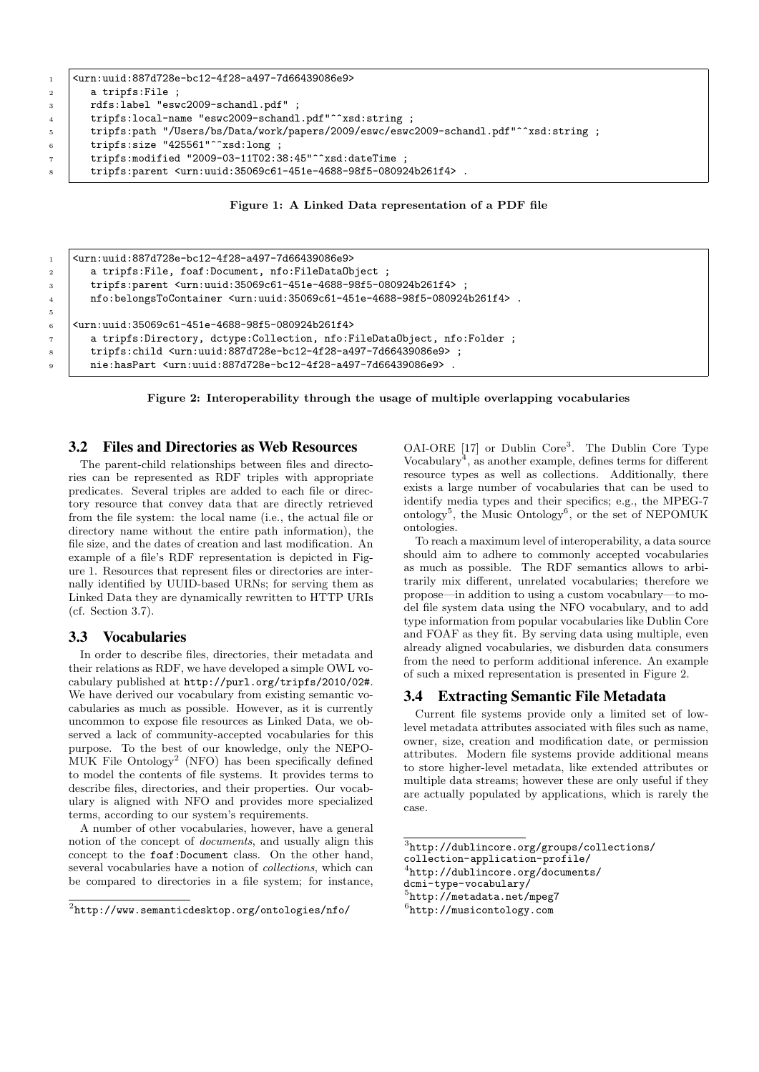```
1 <urn:uuid:887d728e-bc12-4f28-a497-7d66439086e9>
2 a tripfs:File ;
3 rdfs:label "eswc2009-schandl.pdf" ;
4 tripfs:local-name "eswc2009-schandl.pdf"^^xsd:string ;
5 tripfs:path "/Users/bs/Data/work/papers/2009/eswc/eswc2009-schandl.pdf"^^xsd:string ;
6 tripfs:size "425561"^^xsd:long ;
7 \mid tripfs:modified "2009-03-11T02:38:45"^^xsd:dateTime ;
8 tripfs:parent <urn:uuid:35069c61-451e-4688-98f5-080924b261f4> .
```
Figure 1: A Linked Data representation of a PDF file

```
1 <urn:uuid:887d728e-bc12-4f28-a497-7d66439086e9>
2 a tripfs: File, foaf: Document, nfo: FileDataObject;
3 tripfs:parent <urn:uuid:35069c61-451e-4688-98f5-080924b261f4> ;
4 nfo:belongsToContainer <urn:uuid:35069c61-451e-4688-98f5-080924b261f4> .
6   \vert <urn:uuid:35069c61-451e-4688-98f5-080924b261f4>
7 a tripfs:Directory, dctype:Collection, nfo:FileDataObject, nfo:Folder ;
8 tripfs:child <urn:uuid:887d728e-bc12-4f28-a497-7d66439086e9> ;
9 nie:hasPart <urn:uuid:887d728e-bc12-4f28-a497-7d66439086e9> .
```
Figure 2: Interoperability through the usage of multiple overlapping vocabularies

# 3.2 Files and Directories as Web Resources

The parent-child relationships between files and directories can be represented as RDF triples with appropriate predicates. Several triples are added to each file or directory resource that convey data that are directly retrieved from the file system: the local name (i.e., the actual file or directory name without the entire path information), the file size, and the dates of creation and last modification. An example of a file's RDF representation is depicted in Figure 1. Resources that represent files or directories are internally identified by UUID-based URNs; for serving them as Linked Data they are dynamically rewritten to HTTP URIs (cf. Section 3.7).

# 3.3 Vocabularies

5

In order to describe files, directories, their metadata and their relations as RDF, we have developed a simple OWL vocabulary published at http://purl.org/tripfs/2010/02#. We have derived our vocabulary from existing semantic vocabularies as much as possible. However, as it is currently uncommon to expose file resources as Linked Data, we observed a lack of community-accepted vocabularies for this purpose. To the best of our knowledge, only the NEPO-MUK File Ontology<sup>2</sup> (NFO) has been specifically defined to model the contents of file systems. It provides terms to describe files, directories, and their properties. Our vocabulary is aligned with NFO and provides more specialized terms, according to our system's requirements.

A number of other vocabularies, however, have a general notion of the concept of documents, and usually align this concept to the foaf:Document class. On the other hand, several vocabularies have a notion of collections, which can be compared to directories in a file system; for instance,

OAI-ORE [17] or Dublin Core<sup>3</sup>. The Dublin Core Type Vocabulary<sup>4</sup> , as another example, defines terms for different resource types as well as collections. Additionally, there exists a large number of vocabularies that can be used to identify media types and their specifics; e.g., the MPEG-7 ontology<sup>5</sup>, the Music Ontology<sup>6</sup>, or the set of NEPOMUK ontologies.

To reach a maximum level of interoperability, a data source should aim to adhere to commonly accepted vocabularies as much as possible. The RDF semantics allows to arbitrarily mix different, unrelated vocabularies; therefore we propose—in addition to using a custom vocabulary—to model file system data using the NFO vocabulary, and to add type information from popular vocabularies like Dublin Core and FOAF as they fit. By serving data using multiple, even already aligned vocabularies, we disburden data consumers from the need to perform additional inference. An example of such a mixed representation is presented in Figure 2.

## 3.4 Extracting Semantic File Metadata

Current file systems provide only a limited set of lowlevel metadata attributes associated with files such as name, owner, size, creation and modification date, or permission attributes. Modern file systems provide additional means to store higher-level metadata, like extended attributes or multiple data streams; however these are only useful if they are actually populated by applications, which is rarely the case.

```
collection-application-profile/
```

```
4
http://dublincore.org/documents/
```

```
dcmi-type-vocabulary/
```

```
5
http://metadata.net/mpeg7
```

```
6
http://musicontology.com
```
 $^{2}$ http://www.semanticdesktop.org/ontologies/nfo/

<sup>3</sup> http://dublincore.org/groups/collections/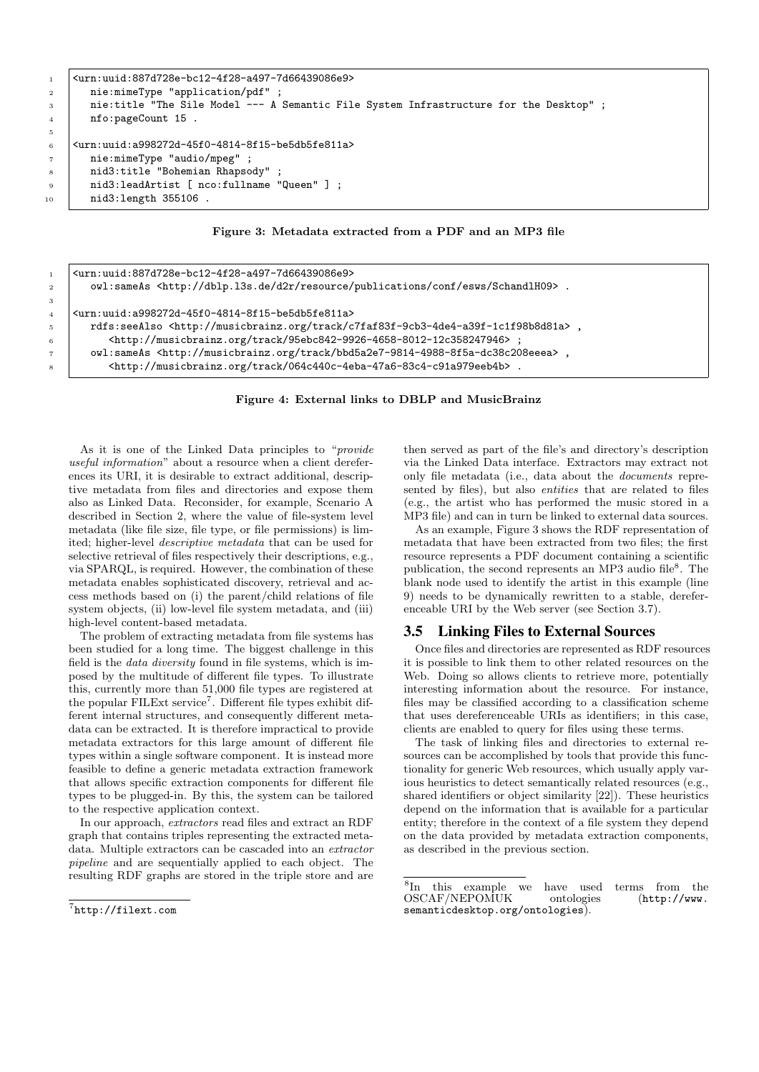```
1 <urn:uuid:887d728e-bc12-4f28-a497-7d66439086e9>
2 nie:mimeType "application/pdf" ;
3 nie:title "The Sile Model --- A Semantic File System Infrastructure for the Desktop" ;
4 | nfo:pageCount 15.
5
6 <urn:uuid:a998272d-45f0-4814-8f15-be5db5fe811a>
7 nie:mimeType "audio/mpeg" ;
8 | nid3:title "Bohemian Rhapsody"
9 | nid3:leadArtist [ nco:fullname "Queen" ] ;
10 | nid3:length 355106 .
```
Figure 3: Metadata extracted from a PDF and an MP3 file

```
1 <urn:uuid:887d728e-bc12-4f28-a497-7d66439086e9>
2 owl:sameAs <http://dblp.l3s.de/d2r/resource/publications/conf/esws/SchandlH09>.
4 <urn:uuid:a998272d-45f0-4814-8f15-be5db5fe811a>
5 rdfs:seeAlso <http://musicbrainz.org/track/c7faf83f-9cb3-4de4-a39f-1c1f98b8d81a> ,
6 | <http://musicbrainz.org/track/95ebc842-9926-4658-8012-12c358247946>;
7 owl:sameAs <http://musicbrainz.org/track/bbd5a2e7-9814-4988-8f5a-dc38c208eeea> ,
         8 <http://musicbrainz.org/track/064c440c-4eba-47a6-83c4-c91a979eeb4b> .
```
Figure 4: External links to DBLP and MusicBrainz

As it is one of the Linked Data principles to "provide useful information" about a resource when a client dereferences its URI, it is desirable to extract additional, descriptive metadata from files and directories and expose them also as Linked Data. Reconsider, for example, Scenario A described in Section 2, where the value of file-system level metadata (like file size, file type, or file permissions) is limited; higher-level descriptive metadata that can be used for selective retrieval of files respectively their descriptions, e.g., via SPARQL, is required. However, the combination of these metadata enables sophisticated discovery, retrieval and access methods based on (i) the parent/child relations of file system objects, (ii) low-level file system metadata, and (iii) high-level content-based metadata.

The problem of extracting metadata from file systems has been studied for a long time. The biggest challenge in this field is the data diversity found in file systems, which is imposed by the multitude of different file types. To illustrate this, currently more than 51,000 file types are registered at the popular FILExt service<sup>7</sup>. Different file types exhibit different internal structures, and consequently different metadata can be extracted. It is therefore impractical to provide metadata extractors for this large amount of different file types within a single software component. It is instead more feasible to define a generic metadata extraction framework that allows specific extraction components for different file types to be plugged-in. By this, the system can be tailored to the respective application context.

In our approach, extractors read files and extract an RDF graph that contains triples representing the extracted metadata. Multiple extractors can be cascaded into an extractor pipeline and are sequentially applied to each object. The resulting RDF graphs are stored in the triple store and are

3

then served as part of the file's and directory's description via the Linked Data interface. Extractors may extract not only file metadata (i.e., data about the documents represented by files), but also *entities* that are related to files (e.g., the artist who has performed the music stored in a MP3 file) and can in turn be linked to external data sources.

As an example, Figure 3 shows the RDF representation of metadata that have been extracted from two files; the first resource represents a PDF document containing a scientific publication, the second represents an MP3 audio file<sup>8</sup>. The blank node used to identify the artist in this example (line 9) needs to be dynamically rewritten to a stable, dereferenceable URI by the Web server (see Section 3.7).

### 3.5 Linking Files to External Sources

Once files and directories are represented as RDF resources it is possible to link them to other related resources on the Web. Doing so allows clients to retrieve more, potentially interesting information about the resource. For instance, files may be classified according to a classification scheme that uses dereferenceable URIs as identifiers; in this case, clients are enabled to query for files using these terms.

The task of linking files and directories to external resources can be accomplished by tools that provide this functionality for generic Web resources, which usually apply various heuristics to detect semantically related resources (e.g., shared identifiers or object similarity [22]). These heuristics depend on the information that is available for a particular entity; therefore in the context of a file system they depend on the data provided by metadata extraction components, as described in the previous section.

 $^{7}$ http://filext.com

<sup>8</sup> In this example we have used terms from the OSCAF/NEPOMUK ontologies (http://www. semanticdesktop.org/ontologies).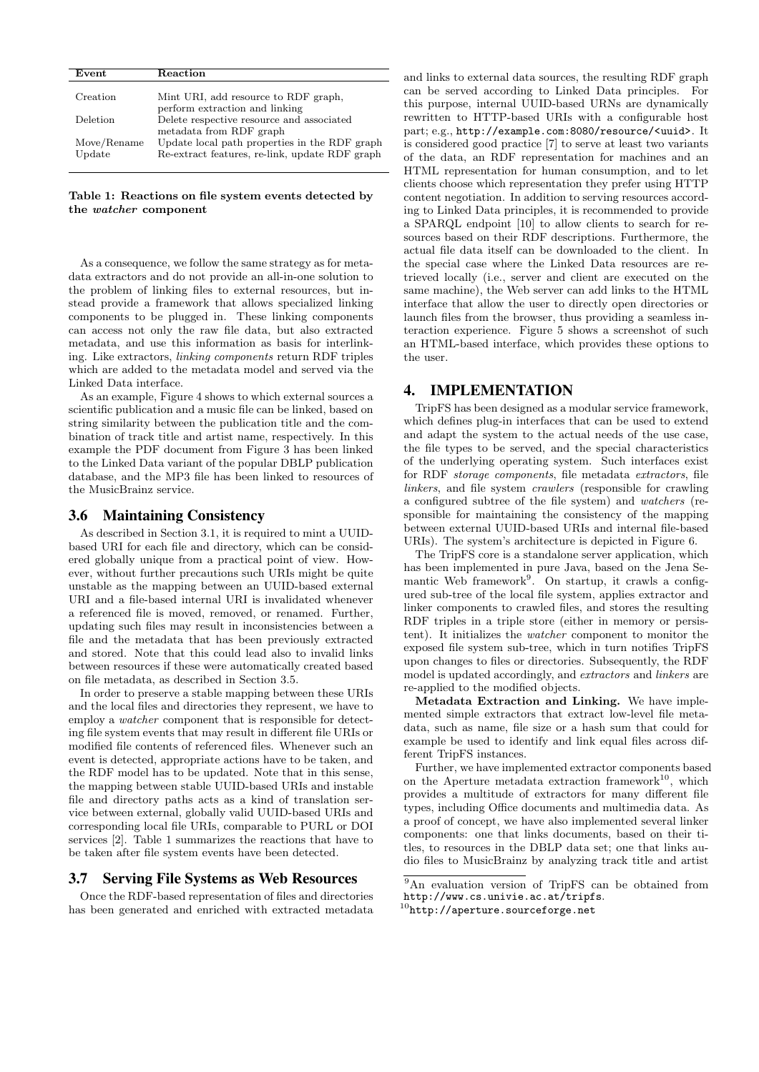| Event       | Reaction                                       |
|-------------|------------------------------------------------|
|             |                                                |
| Creation    | Mint URI, add resource to RDF graph,           |
|             | perform extraction and linking                 |
| Deletion    | Delete respective resource and associated      |
|             | metadata from RDF graph                        |
| Move/Rename | Update local path properties in the RDF graph  |
| Update      | Re-extract features, re-link, update RDF graph |
|             |                                                |

Table 1: Reactions on file system events detected by the watcher component

As a consequence, we follow the same strategy as for metadata extractors and do not provide an all-in-one solution to the problem of linking files to external resources, but instead provide a framework that allows specialized linking components to be plugged in. These linking components can access not only the raw file data, but also extracted metadata, and use this information as basis for interlinking. Like extractors, linking components return RDF triples which are added to the metadata model and served via the Linked Data interface.

As an example, Figure 4 shows to which external sources a scientific publication and a music file can be linked, based on string similarity between the publication title and the combination of track title and artist name, respectively. In this example the PDF document from Figure 3 has been linked to the Linked Data variant of the popular DBLP publication database, and the MP3 file has been linked to resources of the MusicBrainz service.

## 3.6 Maintaining Consistency

As described in Section 3.1, it is required to mint a UUIDbased URI for each file and directory, which can be considered globally unique from a practical point of view. However, without further precautions such URIs might be quite unstable as the mapping between an UUID-based external URI and a file-based internal URI is invalidated whenever a referenced file is moved, removed, or renamed. Further, updating such files may result in inconsistencies between a file and the metadata that has been previously extracted and stored. Note that this could lead also to invalid links between resources if these were automatically created based on file metadata, as described in Section 3.5.

In order to preserve a stable mapping between these URIs and the local files and directories they represent, we have to employ a watcher component that is responsible for detecting file system events that may result in different file URIs or modified file contents of referenced files. Whenever such an event is detected, appropriate actions have to be taken, and the RDF model has to be updated. Note that in this sense, the mapping between stable UUID-based URIs and instable file and directory paths acts as a kind of translation service between external, globally valid UUID-based URIs and corresponding local file URIs, comparable to PURL or DOI services [2]. Table 1 summarizes the reactions that have to be taken after file system events have been detected.

#### 3.7 Serving File Systems as Web Resources

Once the RDF-based representation of files and directories has been generated and enriched with extracted metadata

and links to external data sources, the resulting RDF graph can be served according to Linked Data principles. For this purpose, internal UUID-based URNs are dynamically rewritten to HTTP-based URIs with a configurable host part; e.g., http://example.com:8080/resource/<uuid>. It is considered good practice [7] to serve at least two variants of the data, an RDF representation for machines and an HTML representation for human consumption, and to let clients choose which representation they prefer using HTTP content negotiation. In addition to serving resources according to Linked Data principles, it is recommended to provide a SPARQL endpoint [10] to allow clients to search for resources based on their RDF descriptions. Furthermore, the actual file data itself can be downloaded to the client. In the special case where the Linked Data resources are retrieved locally (i.e., server and client are executed on the same machine), the Web server can add links to the HTML interface that allow the user to directly open directories or launch files from the browser, thus providing a seamless interaction experience. Figure 5 shows a screenshot of such an HTML-based interface, which provides these options to the user.

## 4. IMPLEMENTATION

TripFS has been designed as a modular service framework, which defines plug-in interfaces that can be used to extend and adapt the system to the actual needs of the use case, the file types to be served, and the special characteristics of the underlying operating system. Such interfaces exist for RDF storage components, file metadata extractors, file linkers, and file system crawlers (responsible for crawling a configured subtree of the file system) and watchers (responsible for maintaining the consistency of the mapping between external UUID-based URIs and internal file-based URIs). The system's architecture is depicted in Figure 6.

The TripFS core is a standalone server application, which has been implemented in pure Java, based on the Jena Semantic Web framework<sup>9</sup>. On startup, it crawls a configured sub-tree of the local file system, applies extractor and linker components to crawled files, and stores the resulting RDF triples in a triple store (either in memory or persistent). It initializes the watcher component to monitor the exposed file system sub-tree, which in turn notifies TripFS upon changes to files or directories. Subsequently, the RDF model is updated accordingly, and extractors and linkers are re-applied to the modified objects.

Metadata Extraction and Linking. We have implemented simple extractors that extract low-level file metadata, such as name, file size or a hash sum that could for example be used to identify and link equal files across different TripFS instances.

Further, we have implemented extractor components based on the Aperture metadata extraction framework<sup>10</sup>, which provides a multitude of extractors for many different file types, including Office documents and multimedia data. As a proof of concept, we have also implemented several linker components: one that links documents, based on their titles, to resources in the DBLP data set; one that links audio files to MusicBrainz by analyzing track title and artist

<sup>9</sup>An evaluation version of TripFS can be obtained from http://www.cs.univie.ac.at/tripfs.

 $10$ http://aperture.sourceforge.net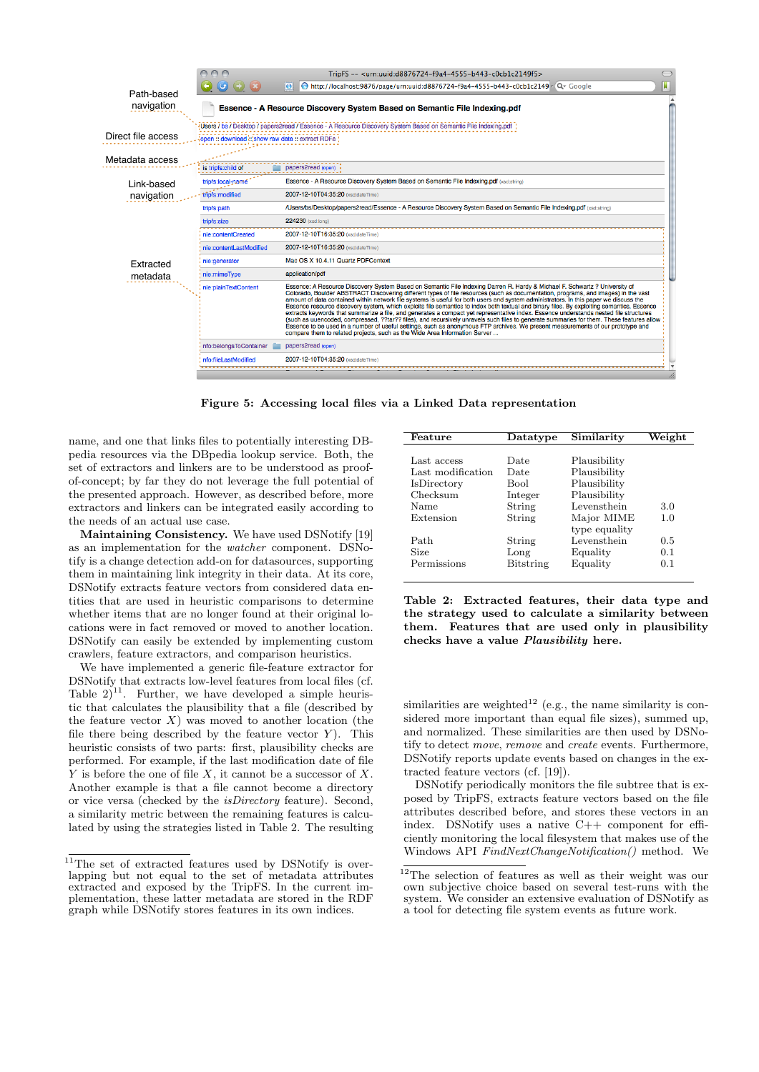

Figure 5: Accessing local files via a Linked Data representation

name, and one that links files to potentially interesting DBpedia resources via the DBpedia lookup service. Both, the set of extractors and linkers are to be understood as proofof-concept; by far they do not leverage the full potential of the presented approach. However, as described before, more extractors and linkers can be integrated easily according to the needs of an actual use case.

Maintaining Consistency. We have used DSNotify [19] as an implementation for the watcher component. DSNotify is a change detection add-on for datasources, supporting them in maintaining link integrity in their data. At its core, DSNotify extracts feature vectors from considered data entities that are used in heuristic comparisons to determine whether items that are no longer found at their original locations were in fact removed or moved to another location. DSNotify can easily be extended by implementing custom crawlers, feature extractors, and comparison heuristics.

We have implemented a generic file-feature extractor for DSNotify that extracts low-level features from local files (cf. Table  $2)^{11}$ . Further, we have developed a simple heuristic that calculates the plausibility that a file (described by the feature vector  $X$ ) was moved to another location (the file there being described by the feature vector  $Y$ ). This heuristic consists of two parts: first, plausibility checks are performed. For example, if the last modification date of file Y is before the one of file X, it cannot be a successor of X. Another example is that a file cannot become a directory or vice versa (checked by the isDirectory feature). Second, a similarity metric between the remaining features is calculated by using the strategies listed in Table 2. The resulting

| Feature           | Datatype  | Similarity    | Weight |
|-------------------|-----------|---------------|--------|
|                   |           |               |        |
| Last access       | Date      | Plausibility  |        |
| Last modification | Date      | Plausibility  |        |
| IsDirectory       | Bool      | Plausibility  |        |
| Checksum          | Integer   | Plausibility  |        |
| Name              | String    | Levensthein   | 3.0    |
| Extension         | String    | Major MIME    | 1.0    |
|                   |           | type equality |        |
| Path              | String    | Levensthein   | 0.5    |
| Size              | Long      | Equality      | 0.1    |
| Permissions       | Bitstring | Equality      | 0.1    |
|                   |           |               |        |

Table 2: Extracted features, their data type and the strategy used to calculate a similarity between them. Features that are used only in plausibility checks have a value Plausibility here.

similarities are weighted<sup>12</sup> (e.g., the name similarity is considered more important than equal file sizes), summed up, and normalized. These similarities are then used by DSNotify to detect move, remove and create events. Furthermore, DSNotify reports update events based on changes in the extracted feature vectors (cf. [19]).

DSNotify periodically monitors the file subtree that is exposed by TripFS, extracts feature vectors based on the file attributes described before, and stores these vectors in an index. DSNotify uses a native C++ component for efficiently monitoring the local filesystem that makes use of the Windows API FindNextChangeNotification() method. We

<sup>&</sup>lt;sup>11</sup>The set of extracted features used by DSNotify is overlapping but not equal to the set of metadata attributes extracted and exposed by the TripFS. In the current implementation, these latter metadata are stored in the RDF graph while DSNotify stores features in its own indices.

<sup>12</sup>The selection of features as well as their weight was our own subjective choice based on several test-runs with the system. We consider an extensive evaluation of DSNotify as a tool for detecting file system events as future work.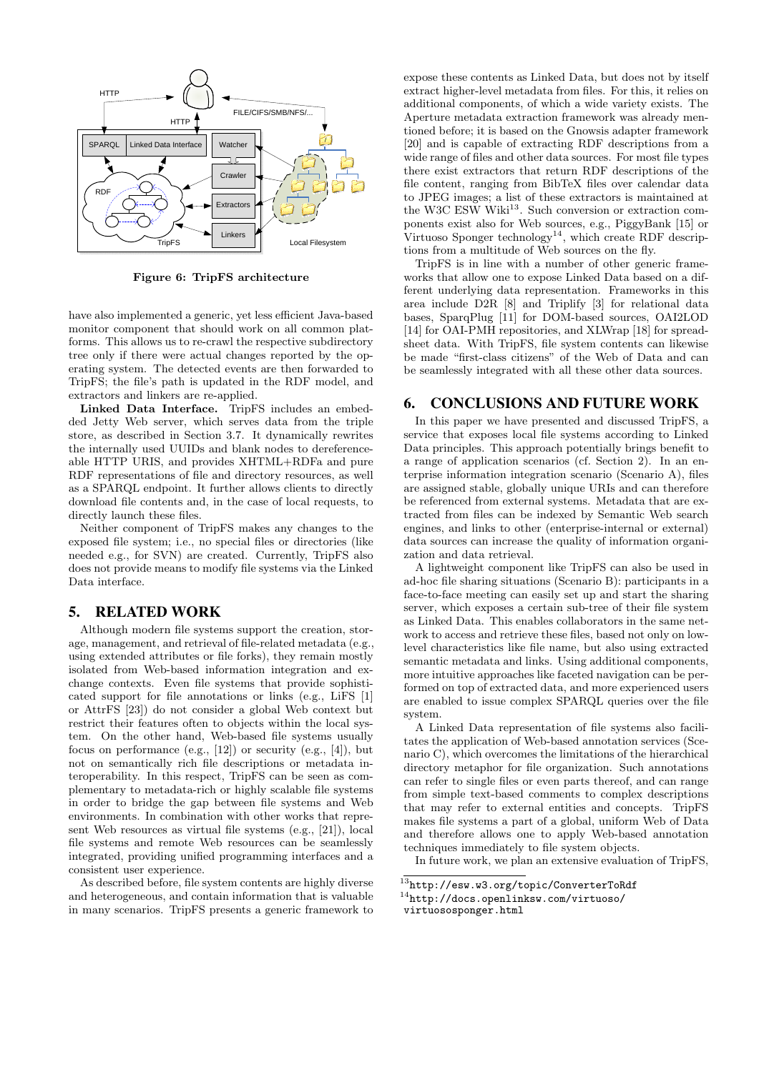

Figure 6: TripFS architecture

have also implemented a generic, yet less efficient Java-based monitor component that should work on all common platforms. This allows us to re-crawl the respective subdirectory tree only if there were actual changes reported by the operating system. The detected events are then forwarded to TripFS; the file's path is updated in the RDF model, and extractors and linkers are re-applied.

Linked Data Interface. TripFS includes an embedded Jetty Web server, which serves data from the triple store, as described in Section 3.7. It dynamically rewrites the internally used UUIDs and blank nodes to dereferenceable HTTP URIS, and provides XHTML+RDFa and pure RDF representations of file and directory resources, as well as a SPARQL endpoint. It further allows clients to directly download file contents and, in the case of local requests, to directly launch these files.

Neither component of TripFS makes any changes to the exposed file system; i.e., no special files or directories (like needed e.g., for SVN) are created. Currently, TripFS also does not provide means to modify file systems via the Linked Data interface.

# 5. RELATED WORK

Although modern file systems support the creation, storage, management, and retrieval of file-related metadata (e.g., using extended attributes or file forks), they remain mostly isolated from Web-based information integration and exchange contexts. Even file systems that provide sophisticated support for file annotations or links (e.g., LiFS [1] or AttrFS [23]) do not consider a global Web context but restrict their features often to objects within the local system. On the other hand, Web-based file systems usually focus on performance (e.g.,  $[12]$ ) or security (e.g.,  $[4]$ ), but not on semantically rich file descriptions or metadata interoperability. In this respect, TripFS can be seen as complementary to metadata-rich or highly scalable file systems in order to bridge the gap between file systems and Web environments. In combination with other works that represent Web resources as virtual file systems (e.g., [21]), local file systems and remote Web resources can be seamlessly integrated, providing unified programming interfaces and a consistent user experience.

As described before, file system contents are highly diverse and heterogeneous, and contain information that is valuable in many scenarios. TripFS presents a generic framework to

expose these contents as Linked Data, but does not by itself extract higher-level metadata from files. For this, it relies on additional components, of which a wide variety exists. The Aperture metadata extraction framework was already mentioned before; it is based on the Gnowsis adapter framework [20] and is capable of extracting RDF descriptions from a wide range of files and other data sources. For most file types there exist extractors that return RDF descriptions of the file content, ranging from BibTeX files over calendar data to JPEG images; a list of these extractors is maintained at the W3C ESW Wiki<sup>13</sup>. Such conversion or extraction components exist also for Web sources, e.g., PiggyBank [15] or Virtuoso Sponger technology<sup>14</sup>, which create RDF descriptions from a multitude of Web sources on the fly.

TripFS is in line with a number of other generic frameworks that allow one to expose Linked Data based on a different underlying data representation. Frameworks in this area include D2R [8] and Triplify [3] for relational data bases, SparqPlug [11] for DOM-based sources, OAI2LOD [14] for OAI-PMH repositories, and XLWrap [18] for spreadsheet data. With TripFS, file system contents can likewise be made "first-class citizens" of the Web of Data and can be seamlessly integrated with all these other data sources.

#### 6. CONCLUSIONS AND FUTURE WORK

In this paper we have presented and discussed TripFS, a service that exposes local file systems according to Linked Data principles. This approach potentially brings benefit to a range of application scenarios (cf. Section 2). In an enterprise information integration scenario (Scenario A), files are assigned stable, globally unique URIs and can therefore be referenced from external systems. Metadata that are extracted from files can be indexed by Semantic Web search engines, and links to other (enterprise-internal or external) data sources can increase the quality of information organization and data retrieval.

A lightweight component like TripFS can also be used in ad-hoc file sharing situations (Scenario B): participants in a face-to-face meeting can easily set up and start the sharing server, which exposes a certain sub-tree of their file system as Linked Data. This enables collaborators in the same network to access and retrieve these files, based not only on lowlevel characteristics like file name, but also using extracted semantic metadata and links. Using additional components, more intuitive approaches like faceted navigation can be performed on top of extracted data, and more experienced users are enabled to issue complex SPARQL queries over the file system.

A Linked Data representation of file systems also facilitates the application of Web-based annotation services (Scenario C), which overcomes the limitations of the hierarchical directory metaphor for file organization. Such annotations can refer to single files or even parts thereof, and can range from simple text-based comments to complex descriptions that may refer to external entities and concepts. TripFS makes file systems a part of a global, uniform Web of Data and therefore allows one to apply Web-based annotation techniques immediately to file system objects.

In future work, we plan an extensive evaluation of TripFS,

<sup>13</sup>http://esw.w3.org/topic/ConverterToRdf

<sup>14</sup>http://docs.openlinksw.com/virtuoso/ virtuososponger.html